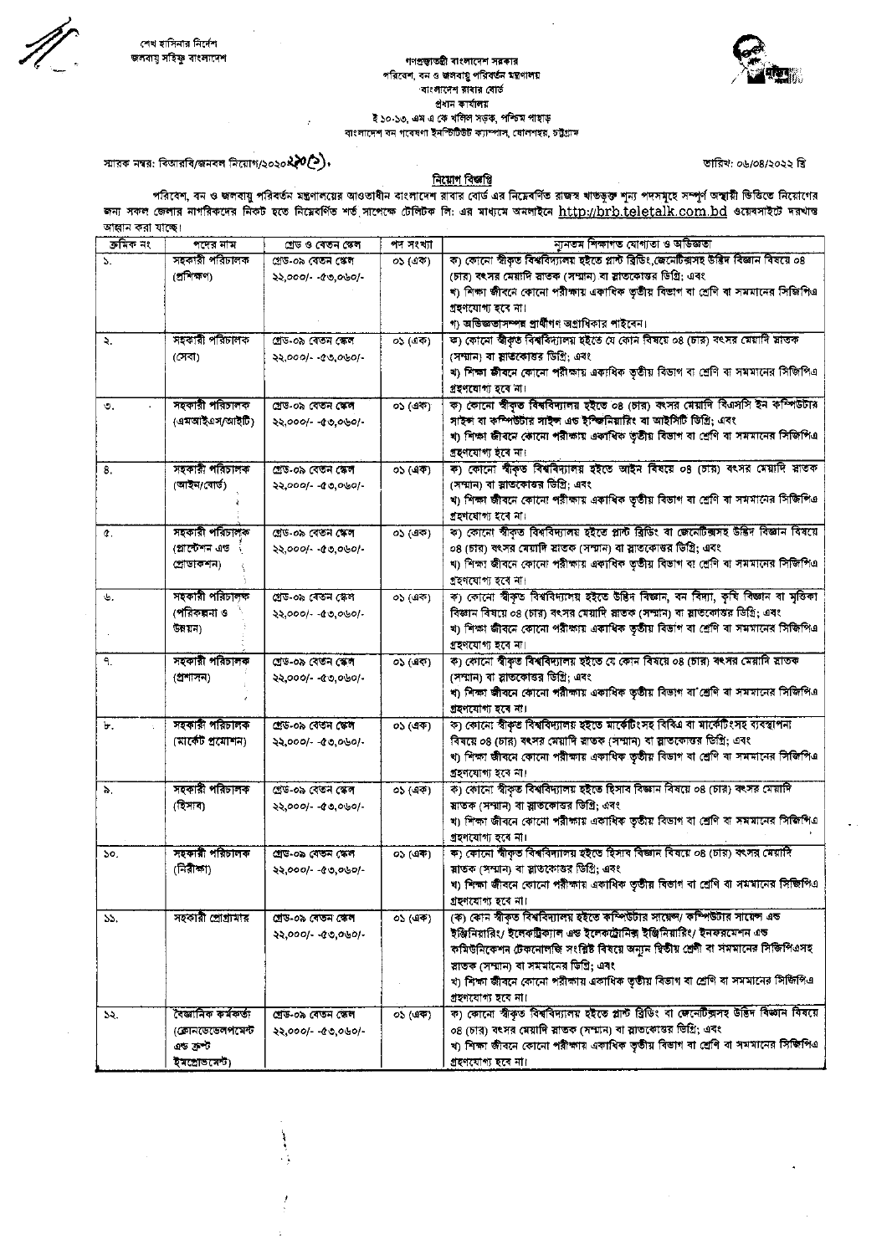## গণপ্রজ্বাতন্ত্রী বাংলাদেশ সরকার পরিবেশ, বন ও জলবায়ু পরিবর্তন মন্ত্রণালয় বাংলাদেশ রাবার বোর্ড প্ৰধান কাৰ্যালয় ই ১০-১৩, এম এ কে খলিল সড়ক, পশ্চিম পাহাড় বাংলাদেশ বন গবেষণা ইনস্টিউট ক্যাম্পাস, যোলশহর, চট্টগ্রাম



স্মারক নম্বর: বিআরবি/জনবল নিয়োগ/২০২০**২২০(>).** 

Ì

## निয়োগ বিজয়ি

ডারিখ: ০৬/০৪/২০২২ খ্রি

পরিবেশ, বন ও জলবায়ু পরিবর্তন মন্ত্রণালয়ের আওতাধীন বাংলাদেশ রাবার বোর্ড এর নিমেবর্ণিত রাজস্ব খাতভূক্ত শূন্য পদসমূহে সম্পূর্ণ অস্থায়ী ভিত্তিতে নিয়োগের<br>জন্য সকল জেলার নাগরিকদের নিকট হতে নিমেবর্ণিত শর্ত সাপেক্ষে টেলিটক লি আহ্বান করা যাছে।

| ক্ৰমিক নং | পদের নাম            | শ্ৰেড ও বেতন স্কেল  | পদ সংখ্যা | ন্যুনতম শিক্ষাগত যোগ্যতা ও অভিজ্ঞতা                                                                            |
|-----------|---------------------|---------------------|-----------|----------------------------------------------------------------------------------------------------------------|
| 5.        | সহকারী পরিচালক      | গ্ৰেড-০৯ বেতন স্কেল | ০১ (এক)   | ক) কোনো স্বীকৃত বিশ্ববিদ্যালয় হইতে প্লান্ট ব্ৰিডিং,জেনেটিক্সসহ উদ্ভিদ বিজ্ঞান বিষয়ে ০৪                       |
|           | (প্ৰশিক্ষণ)         | $22,0001 - 00,0001$ |           | (চার) বৎসর মেয়াদি স্নাতক (সম্মান) বা স্লাতকোত্তর ডিগ্রি; এবং                                                  |
|           |                     |                     |           | খ) শিক্ষা জীবনে কোনো পরীক্ষায় একাধিক তৃতীয় বিভাগ বা শ্রেণি বা সমমানের সিজিপিএ                                |
|           |                     |                     |           | গ্ৰহণযোগ্য হৰে না।                                                                                             |
|           |                     |                     |           | গ) অভিজ্ঞতাসম্পন্ন প্রার্থীগণ অগ্রাধিকার পাইবেন।                                                               |
| ₹.        | সহকারী পরিচালক      | প্ৰেড-০৯ বেতন স্কেল | ০১ (এক)   | ক) কোনো স্বীকৃত বিশ্ববিদ্যালয় হইতে যে কোন বিষয়ে ০৪ (চার) বৎসর মেয়াদি স্লাতক                                 |
|           | (সেবা)              | ২২,০০০/- -৫৩,০৬০/-  |           | (সম্মান) বা স্লাতকোত্তর ডিগ্রি; এবং                                                                            |
|           |                     |                     |           | খ) শিক্ষা জীবনে কোনো পরীক্ষায় একাধিক ভৃতীয় বিভাগ বা শ্রেণি বা সমমানের সিজিপিএ                                |
|           |                     |                     |           | গ্ৰহণযোগ্য হবে না।                                                                                             |
| O.        | সহকারী পরিচালক      | গ্ৰেড-০৯ বেতন স্কেল | ০১ (এক)   | ক) কোনো স্বীকৃত বিশ্ববিদ্যালয় হইতে ০৪ (চার) কংসর মেয়াদি বিএসসি ইন কম্পিউটার                                  |
|           | (এমআইএস/আইটি)       | $22,000/ -00,000/$  |           | সাইন্স বা কম্পিউটার সাইন্স এড ইম্জিনিয়ারিং বা আইসিটি ডিগ্রি; এবং                                              |
|           |                     |                     |           | খ) শিক্ষা জীবনে কোনো পরীক্ষায় একাধিক তৃতীয় বিভাগ বা শ্রেণি বা সমমানের সিজিপিএ                                |
|           |                     |                     |           | গ্ৰহণযোগ্য হবে না।                                                                                             |
| 8.        | সহকারী পরিচালক      | শ্ৰেড-০৯ বেতন স্কেল | ০১ (এক)   | ক) কোনো স্বীকৃত বিশ্ববিদ্যালয় হইতে আইন বিষয়ে ০৪ (চার) বৎসর মেয়াদি স্নাতক                                    |
|           | (আইন/বোর্ড)         |                     |           | (সম্মান) বা স্লাতকোত্তর ডিগ্রি; এবং                                                                            |
|           |                     | ২২,০০০/- -৫৩,০৬০/-  |           | খ) শিক্ষা জীবনে কোনো পরীক্ষায় একাধিক ভূতীয় বিভাগ বা শ্রেণি বা সমমানের সিজিপিএ                                |
|           |                     |                     |           |                                                                                                                |
|           | সহকারী পরিচালক      |                     |           | গ্ৰহণযোগ্য হবে না।<br>ক) কোনো স্বীকৃত বিশ্ববিদ্যালয় হইতে প্লান্ট ব্ৰিডিং বা জেনেটিক্সসহ উষ্টিদ বিজ্ঞান বিষয়ে |
| ¢.        |                     | গ্ৰেড-০৯ বেতন ক্ষেল | ০১ (এক)   |                                                                                                                |
|           | (প্লান্টেশন এড      | $22,0001 - 00,0001$ |           | ০৪ (চার) বৎসর মেয়াদি স্লাতক (সম্মান) বা স্লাতকোত্তর ডিগ্রি; এবং                                               |
|           | প্ৰোডাকশন)          |                     |           | খ) শিক্ষা জীবনে কোনো পরীক্ষায় একাধিক তৃতীয় বিভাগ বা শ্রেণি বা সমমানের সিজিপিএ                                |
|           |                     |                     |           | গ্ৰহণযোগ্য হবে না।                                                                                             |
| ψ.        | সহকারী পরিচালক      | গ্ৰেড-০৯ বেতন স্কেল | ০১ (এক)   | ক) কোনো স্বীকৃত বিশ্ববিদ্যালয় হইতে উদ্ভিদ বিজ্ঞান, বন বিদ্যা, কৃষি বিজ্ঞান বা মৃতিকা                          |
|           | (পরিকল্পনা ও        | 22,000/1.40,000/1.  |           | বিজ্ঞান বিষয়ে ০৪ (চার) বৎসর মেয়াদি স্লাতক (সম্মান) বা স্লাতকোত্তর ডিগ্রি; এবং                                |
|           | উন্নয়ন)            |                     |           | খ) শিক্ষা জীবনে কোনো পরীক্ষায় একাধিক ভূতীয় বিভাগ বা শ্রেণি বা সমমানের সিজিপিএ                                |
|           |                     |                     |           | গ্ৰহণযোগ্য হবে না।                                                                                             |
| ٩.        | সহকারী পরিচালক      | শ্ৰেড-০৯ বেতন স্কেল | ০১ (এক)   | ক) কোনো স্বীকৃত বিশ্ববিদ্যালয় হইতে যে কোন বিষয়ে ০৪ (চার) বৎসর মেয়াদি স্নাতক                                 |
|           | (প্ৰশাসন)           | $22,000/-00,080/-$  |           | (সম্মান) বা স্নাতকোত্তর ডিগ্রি: এবং                                                                            |
|           |                     |                     |           | খ) শিক্ষা জীবনে কোনো পরীক্ষায় একাধিক তৃতীয় বিভাগ বা শ্রেণি বা সমমানের সিজিপিএ                                |
|           |                     |                     |           | গ্ৰহণযোগ্য হবে না।                                                                                             |
| Ъ.        | সহকারী পরিচালক      | গ্ৰেড-০৯ বেতন স্কেল | ০১ (এক)   | ক) কোনো স্বীকৃত বিশ্ববিদ্যালয় হইতে মার্কেটিংসহ বিবিএ বা মার্কেটিংসহ ব্যবস্থাপনা                               |
|           | (মার্কেট প্রযোশন)   | ২২,০০০/- -৫৩,০৬০/-  |           | বিষয়ে ০৪ (চার) বৎসর মেয়াদি স্নাতক (সম্মান) বা স্লাতকোত্তর ডিগ্রি; এবং                                        |
|           |                     |                     |           | খ) শিক্ষা জীবনে কোনো পরীক্ষায় একাধিক তৃতীয় বিভাগ বা শ্রেণি বা সমমানের সিজিপিএ                                |
|           |                     |                     |           | গ্ৰহণযোগ্য হবে না।                                                                                             |
| δ.        | সহকারী পরিচালক      | গ্ৰেড-০৯ বেতন স্কেল | ০১ (এক)   | ক) কোনো স্বীকৃত বিশ্ববিদ্যালয় হইতে হিসাব বিজ্ঞান বিষয়ে ০৪ (চার) বংসর মেয়াদি                                 |
|           | (হিসাব)             | ২২,০০০/- -৫৩,০৬০/-  |           | শ্বাতক (সম্মান) বা স্লাভকোত্তর ডিগ্রি; এবং                                                                     |
|           |                     |                     |           | খ) শিক্ষা জীবনে কোনো পরীক্ষায় একাধিক তৃতীয় বিভাগ বা শ্রেণি বা সমমানের সিজিপিএ                                |
|           |                     |                     |           | গ্ৰহণযোগ্য হৰে না।                                                                                             |
| ১০.       | সহকারী পরিচালক      | গ্ৰেড-০৯ বেতন স্কেল | ০১ (এক)   | ক) কোনো স্বীকৃত বিশ্ববিদ্যালয় হইতে হিসাব বিজ্ঞান বিষয়ে ০৪ (চার) বৎসর মেয়াদি                                 |
|           | (নিৰীক্ষা)          | ২২,০০০/- -৫৩,০৬০/-  |           | স্নাতক (সম্মান) বা স্নাতকোত্তর ডিগ্রি; এবং                                                                     |
|           |                     |                     |           | খ) শিক্ষা জীবনে কোনো পরীক্ষায় একাধিক তৃতীয় বিভাগ বা শ্রেণি বা সমমানের সিজিপিএ                                |
|           |                     |                     |           | গ্ৰহণযোগ্য হবে না।                                                                                             |
| ১১.       | সহকারী প্রোগ্রামার  | গ্ৰেড-০৯ বেতন কেল   | ০১ (এক)   | (ক) কোন স্বীকৃত বিশ্ববিদ্যালয় হইতে কম্পিউটার সায়েন্স/ কম্পিউটার সায়েন্স এন্ড                                |
|           |                     | ২২,০০০/- -৫৩,০৬০/-  |           | ইঞ্জিনিয়ারিং/ ইলেকট্রিক্যাল এন্ড ইলেকট্রোনিক্স ইঞ্জিনিয়ারিং/ ইনফরমেশন এন্ড                                   |
|           |                     |                     |           | কমিউনিকেশন টেকনোলজি সংশ্লিষ্ট বিষয়ে অন্যুন দ্বিতীয় শ্রেণী বা সমমানের সিজিপিএসহ                               |
|           |                     |                     |           | স্লাতক (সম্মান) বা সমমানের ডিগ্রি; এবং                                                                         |
|           |                     |                     |           | খ) শিক্ষা জীবনে কোনো পরীক্ষায় একাধিক তৃতীয় বিভাগ বা শ্রেণি বা সমমানের সিজিপিএ                                |
|           |                     |                     |           | গ্ৰহণযোগ্য হবে না।                                                                                             |
| ১২.       | বৈজ্ঞানিক কৰ্মফৰ্জা | শ্ৰেড-০৯ বেতন স্কেল | 05(49)    | ক) কোনো স্বীকৃত বিশ্ববিদ্যালয় হইতে প্লান্ট ব্ৰিডিং বা জেনেটিক্সদহ উত্তিদ বিজ্ঞান বিষয়ে                       |
|           | (কোনডেভেলপমেন্ট     | ২২,০০০/- -৫৩,০৬০/-  |           | ০৪ (চার) বৎসর মেয়াদি স্নাতক (সম্মান) বা স্নাতকোত্তর ভিগ্রি; এবং                                               |
|           | এড ক্ৰুণ্ট          |                     |           | খ) শিক্ষা জীবনে কোনো পরীক্ষায় একাধিক তৃতীয় বিভাগ বা শ্রেণি বা সমমানের সিজিপিএ                                |
|           | ইমপ্ৰোভনেন্ট)       |                     |           | গ্ৰহণযোগ্য হবে না।                                                                                             |
|           |                     |                     |           |                                                                                                                |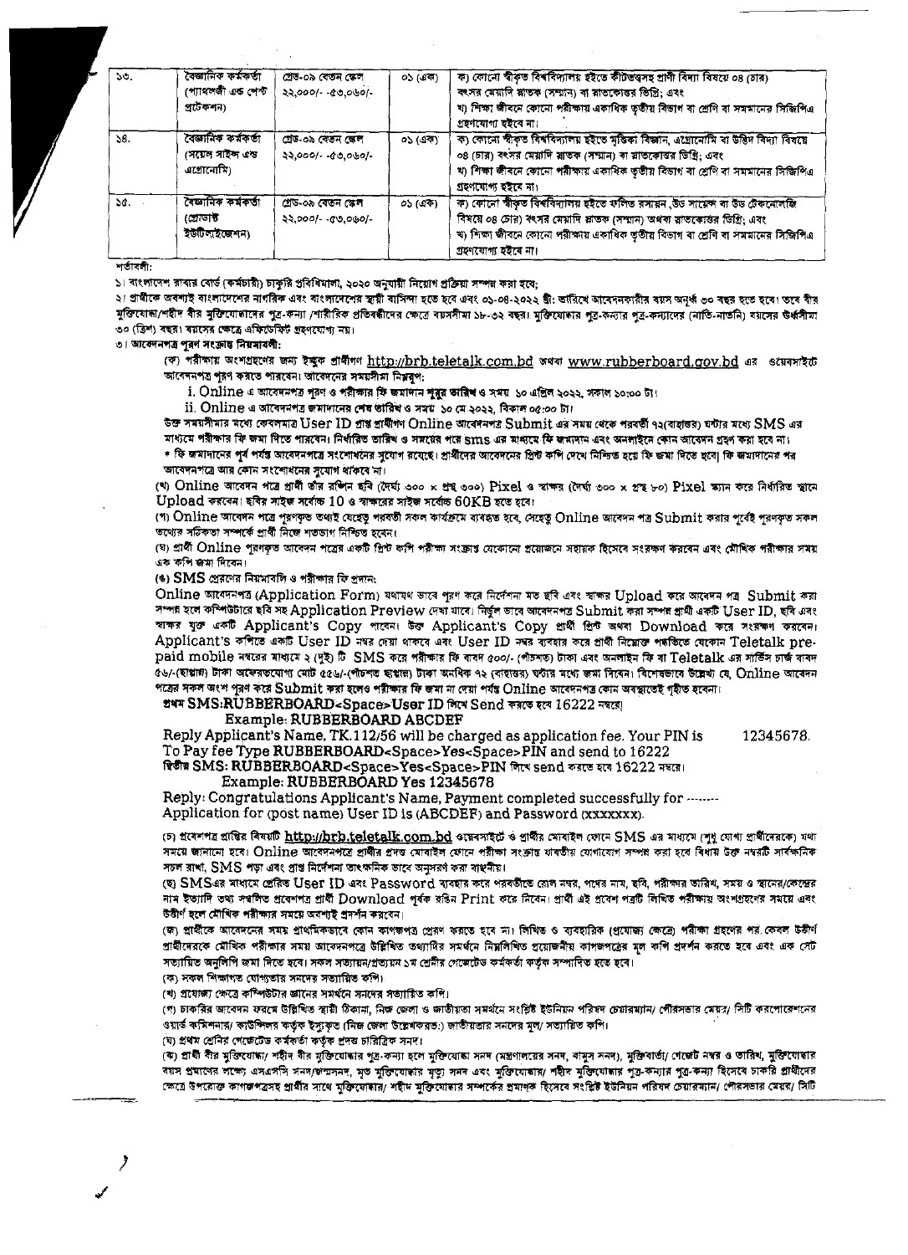| 50.          | ৰেজানিক কৰ্মকৰ্তা<br>প্যোথলজী এত শেক্ট<br>প্ৰটেকশন)   | গ্ৰেড-০৯ বেতন স্কেল<br>22,000/ - 10,060/-   | ০১ (এক) | ক) কোনো স্বীকৃত বিশ্ববিদ্যালয় হইতে কীটভত্তসহ প্ৰাণী বিদ্যা বিষয়ে ০৪ (চার)<br>বৎসর মেয়াদি শ্লাতক (সম্মান) বা শ্লাতকোত্তর ভিত্তি; এবং<br>খ) শিক্ষা জীবনে কোনো পরীক্ষায় একাধিক তৃতীয় বিভাগ বা শ্রেণি বা সমমানের সিজিপিএ<br>গ্ৰহণযোগ্য হইবে না।                  |
|--------------|-------------------------------------------------------|---------------------------------------------|---------|-------------------------------------------------------------------------------------------------------------------------------------------------------------------------------------------------------------------------------------------------------------------|
| 58.          | বেজানিক কৰ্মকৰ্তা<br>পেয়েল সাইন্দ এন্ড<br>এগ্রোমোমি) | গ্ৰেড-০৯ বেতন স্কেল<br>22.000/-00.060/-     | ০১ (এক) | ক) কোনো স্বীকৃত বিশ্ববিদ্যালয় হইতে মৃতিকা বিজ্ঞান, এগ্রোমোমি বা উদ্ভিদ বিদ্যা বিষয়ে<br>০৪ (চার) বৎসর মেয়াদি মাতক (সম্মান) বা স্নাতকোত্তর ডিগ্রি; এবং<br>খ) শিক্ষা জীবনে কোনো পরীক্ষায় একাধিক তৃতীয় বিভাগ বা শ্রেণি বা সমমানের সিজিপিএ<br>গ্ৰহণযোগ্য হইৰে না। |
| $\Delta d$ . | বৈজ্ঞানিক কৰ্মকৰ্তা<br>প্ৰোডাৰ্ক<br>ইউটিলাইজেশন)      | গ্ৰেড-০৯ বেতন স্কেল<br>$22,000/- -0.0000/-$ | ০১ (এক) | ক) কোনো স্বীকৃত বিশ্ববিদ্যালয় হইতে কলিত রসায়ন ,উড সায়েন্স বা উড টেকনোলজি<br>বিষয়ে ০৪ চোর) বৎসর মেয়াদি স্লাতক (সম্মান) অথবা স্লাতকোত্তর ডিগ্রি; এবং<br>খ) শিক্ষা জীবনে কোনো পরীক্ষায় একাধিক তৃতীয় বিভাগ বা শ্রেণি বা সমমানের সিজিপিএ<br>গ্ৰহণযোগ্য হইৰে না। |

শর্তাবলী:

১৷ বাংলাদেশ রাবার বোর্ড (কর্মচারী) চাকুরি প্রবিধিমালা, ২০২০ অনুযায়ী নিয়োগ প্রক্রিয়া সম্পন্ন করা হবে;

২। প্রাধীকে অবশ্যই বাংলাদেশের নাগরিক এবং বাংলাদেশের স্থায়ী বাসিন্দা হতে হবে এবং ০১-০৪-২০২২ খ্রী: তারিখে আবেদনকারীর বয়স অনূর্ধ্ব ৩০ বছর হতে হবে। তবে বীর মুক্তিযোদা/শহীদ বীর মুক্তিযোদাদের পুত্র-কন্যা /শারীরিক প্রতিবদ্ধীদের ক্ষেত্রে বয়সসীমা ১৮-৩২ বছর। মুক্তিযোদার পুত্র-কন্যাদের (নাতি-নাতনি) বয়সের উর্ধসীমা ৩০ (ত্রিশ) বছর। বয়সের ক্ষেত্রে এফিডেফিট গ্রহণযোগ্য নয়।

৩। আবেদনপত্র পুরণ সংক্রান্ত নিয়মাবলী:

(ক) পরীক্ষায় অংশগ্রহণের জন্য ইক্ষুক প্রাধীনণ http://brb.teletalk.com.bd অথবা www.rubberboard.gov.bd এর ওয়েবসাইটে আবেদনপত্র পূরণ করতে পারবেন। আবেদনের সময়সীমা নিম্নবৃপ:

i. Online এ আবেদনপত্র পূরণ ও পরীক্ষার ফি জমাদান শুরুর তারিশ ও সময় ১০ এপ্রিল ২০২২, সকাল ১০:০০ টা।

 $ii$ . Online এ আবেদনপত্র জমাদানের শেষ তারিখ ও সময় ১০ মে ২০২২, বিকাল ০৫:০০ টা।

উক্ত সময়সীমার মধ্যে কেবলমাত্র User ID প্রাপ্ত প্রার্থীগণ Online আবেদনপত্র Submit এর সময় থেকে পরবর্তী ৭২(বাহাতর) ঘন্টার মধ্যে SMS এর মাধ্যমে পরীক্ষার ফি জমা দিতে পারবেন। নির্ধারিত তারিখ ও সমর্য়ের পরে SmS এর মাধ্যমে ফি জমাদান এবং অনলাইনে কোন আবেদন গ্রহণ করা হবে না।

\* ফি জমাদানের পূর্ব পর্যন্ত আবেদনপত্রে সংশোধনের সুযোগ রযেছে। প্রাধীদের আবেদনের প্রিন্ট কপি দেখে নিশ্চিত হয়ে ফি জমা দিতে হবে| ফি জমাদানের পর জাবেদনপত্রে আর কোন সংশোধনের সূযোগ থাঁকৰে না।

(খ) Online আবেদন পত্রে গ্রাধী তাঁর রশিন ছবি (দৈর্ঘ্য ৩০০ x প্রন্থ ৩০০) Pixel ও স্বাক্ষর (দৈর্ঘ্য ৩০০ x গ্রন্থ ৮০) Pixel ভ্যান করে নির্ধারিত স্থানে  $\bf Upload$  করবেন। ছবির সাইজ সর্বোচ্চ  $\bf 10$  ও স্বাক্ষরের সাইজ সর্বোচ্চ  $\bf 60KB$  হতে হবে।

(গ) Online আবেদন পত্ৰে পূৰণকৃত তথ্যই যেহেতু পরবর্তী সকল কার্যক্রমে ব্যবহৃত হবে, সেহেতু Online আবেদন পত্র Submit করার পূর্বেই পূরণকৃত সকল তথ্যের সঠিকতা সম্পর্কে প্রার্থী নিজে শতভাগ নিশ্চিত হবেন।

(ঘ) প্রার্থী Online পূরণকৃত আবেদন পত্রের একটি প্রিন্ট কপি পরীক্ষা সংক্রান্ত যেকোনো প্রয়োজনে সহায়ক বিয়েক করকে করবেন এবং মৌখিক পরীক্ষার সময় এক কলি জন্ম দিবেন।

(6) SMS প্রেরণের নিয়মাবলি ও পরীক্ষার ফি প্রদান:

Online আবেদনপত্র (Application Form) যথাযথ ভাবে পুরণ করে নির্দেশনা মত ছবি এবং স্বাক্ষর Upload করে আবেদন পত্র Submit করা সম্পন্ন হলে কম্পিউটারে ছবি সহ Application Preview দেখা যাবে। নির্ভুল ভাবে আবেদনপত্র Submit করা সম্পন্ন গ্রামী একটি User ID, ছবি এবং স্বাক্ষর যুক্ত একটি Applicant's Copy পাবেন। উক্ত Applicant's Copy প্রার্থী প্রিন্ট অথবা Download করে সংরক্ষণ করবেন। Applicant's কপিতে একটি User ID নম্বর দেয়া থাকবে এবং User ID নম্বর ব্যবহার করে গ্রার্থী নিয়োক্ত পর্যক্তিত যেকোন Teletalk prepaid mobile নম্বরের মাধ্যমে ২ (দুই) টি SMS করে পরীক্ষার ফি বাবদ ৫০০/- (পাঁচশত) টাকা এবং অনলাইম ফি বা Teletalk এর সার্ভিস চার্জ বাবদ ৫৬/-(ছাপ্পান) টাকা অফেরতযোগ্য মোট ৫৫৬/-(পাঁচশত ছাপ্পান) টাকা অনধিক ৭২ (বাহাতর) ঘন্টার মধ্যে জমা দিবেন। বিশেষভাবে উল্লেখ্য যে, Online আবেদন পত্রের সকল অংশ পুরণ করে Submit করা হলেও পরীক্ষার ফি জমা না দেয়া পর্যন্ত Online আবেদনপত্র কোন অবস্থাতেই গৃহীত হবেনা।

शथम SMS:RUBBERBOARD<Space>User ID लिए Send कब्रार रत 16222 नवत्व।

Example: RUBBERBOARD ABCDEF

Reply Applicant's Name, TK.112/56 will be charged as application fee. Your PIN is 12345678. To Pay fee Type RUBBERBOARD<Space>Yes<Space>PIN and send to 16222

ৰিতীয় SMS: RUBBERBOARD<Space>Yes<Space>PIN লিখে send করতে হবে 16222 নম্বরে।

Example: RUBBERBOARD Yes 12345678

Reply: Congratulations Applicant's Name, Payment completed successfully for ........

Application for (post name) User ID is (ABCDEF) and Password (xxxxxxx).

(চ) গ্রবেশপত্র প্রান্তির বিষয়টি <u>http://brb.teletalk.com.bd</u> ওয়েবসাইটে ও প্রার্থীর মোবাইল ফোনে SMS এর মাধ্যমে (শুধু যোগ্য প্রার্থীদেরকে) যথা সময়ে জানানো হবে। Online আবেদনপত্রে প্রার্থীর প্রদত মোবাইল ফোনে পরীক্ষা সংক্রান্ত যাবতীয় যোগাযোগ সম্পন্ন করা হবে বিধায় উক্ত নম্বাটি সার্বক্ষনিক সচল রাখা, SMS পড়া এবং প্রাপ্ত নির্দেশনা তাৎক্ষনিক ভাবে অনুসরণ করা বাস্থনীয়।

(ছ) SMSএর মাধামে প্রেরিত User ID এবং Password ব্যবহার করে পরবর্তীতে রোল নদর, পদের নাম, ছবি, পরীক্ষার তারিখ, সময় ও স্থানের/কেন্দ্রের নাম ইত্যাদি তথ্য সম্বলিত প্ৰবেশপত্ৰ প্ৰাৰী Download পূৰ্বক রঙিন Print করে নিবেন। প্ৰাৰ্থী এই প্ৰবেশ পত্ৰটি লিখিত পরীক্ষায় অংশগ্ৰহণের সময়ে এবং উত্তীর্ণ হলে মৌখিক পরীক্ষার সময়ে অবশ্যই শ্রদর্শন করবেন।

(জ) প্রার্থীকে আবেদনের সময় প্রাথমিকডাবে কোন কাপজপত্র প্রেরণ করতে হবে না। লিখিত ও ব্যবহারিক (প্রযোজ্য ক্রেত্র) পরীক্ষা গ্রহণের পর কেবল উতীর্ণ গ্রার্থীদেরকে মৌখিক পরীক্ষার সময় আবেদনপত্রে উল্লিখিত তথ্যাদির সমর্থনে নিমলিখিত প্রয়োজনীয় কাগজপত্রের মূল কপি প্রদর্শন করতে হবে এবং এক সেট সত্যায়িত অনুলিপি জমা দিতে হবে। সকল সত্যায়ন/প্রত্যয়ন ১ম শ্রেনীর গেজেটেড কর্মকর্তা কর্তৃক সম্পাদিত হতে হবে।

(ক) সকল শিক্ষাগত যোগ্যতার সমদের সভ্যায়িত কপি।

(খ) প্রযোজ্য ক্ষেত্রে কম্পিউটার জ্ঞানের সমর্থনে সনদের সত্যায়িত কপি।

(গ) চাকরির আবেদন ফরমে উল্লিখিত স্থায়ী ঠিকানা, নিজ জেলা ও জাতীয়তা সমর্থনে সংশ্লিষ্ট ইউনিয়ন পরিষদ চেয়ারম্যান/ গৌরসভার মেয়র/ পিটি করপোরেশনের ওয়ার্ড কমিশনার/ কাউন্সিলর কর্তৃক ইস্যুকৃত (নিন্ধ জেলা উল্লেখকরত:) জাতীয়তার সনদের মূল/ সত্যায়িত কপি।

(ঘ) প্ৰথম শ্ৰেনিয় গেজেটেড কৰ্মকৰ্তা কৰ্তৃক প্ৰদস্ত চারিব্ৰিক সনদ।

(ঝ) প্রার্থী বীর মুক্তিযোদ্ধা/ শহীদ বীর মুক্তিযোদ্ধার পুত্র-কন্যা হলে মুক্তিযোদ্ধা সমদ (মন্ত্রণালদের সমদ, রামুক সমদ), মুক্তিগোর্জা সমদ ও তারিখ, মুক্তিযোদ্ধার বয়স প্রমানের লক্ষ্যে এসএসসি সনদ/জন্মসনদ, মৃত মুক্তিযোদার মৃত্যু সনদ এবং মুক্তিযোদার শহীদ মুক্তিযোদার পুত্র-কন্যা হিসেবে চাকরি প্রাথীদের ক্ষেত্রে উপরোক্ত কাগজপত্রসহ প্রার্থীর সাথে মুক্তিযোদীর/ শহীদ মুক্তিযোদার সম্পর্কের সমাগক হিসেবে সংশ্লিষ্ট ইউনিয়ন পরিষদ চেয়ারম্যান/ পৌরসভার মেয়র/ সিটি